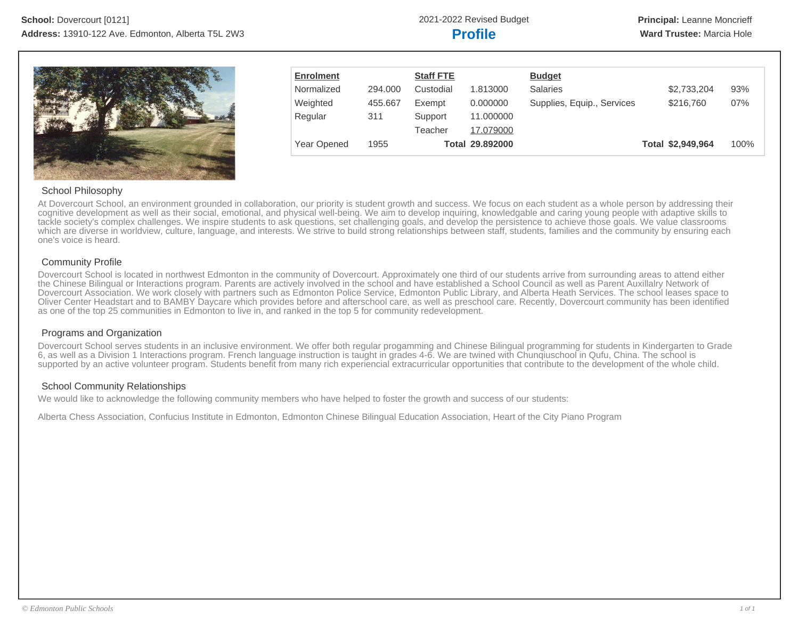

| <b>Enrolment</b> |         | <b>Staff FTE</b> |                 | <b>Budget</b>              |                   |      |
|------------------|---------|------------------|-----------------|----------------------------|-------------------|------|
| Normalized       | 294.000 | Custodial        | 1.813000        | <b>Salaries</b>            | \$2,733,204       | 93%  |
| Weighted         | 455.667 | Exempt           | 0.000000        | Supplies, Equip., Services | \$216,760         | 07%  |
| Regular          | 311     | Support          | 11.000000       |                            |                   |      |
|                  |         | Teacher          | 17.079000       |                            |                   |      |
| Year Opened      | 1955    |                  | Total 29.892000 |                            | Total \$2,949,964 | 100% |

# School Philosophy

At Dovercourt School, an environment grounded in collaboration, our priority is student growth and success. We focus on each student as a whole person by addressing their cognitive development as well as their social, emotional, and physical well-being. We aim to develop inquiring, knowledgable and caring young people with adaptive skills to tackle society's complex challenges. We inspire students to ask questions, set challenging goals, and develop the persistence to achieve those goals. We value classrooms which are diverse in worldview, culture, language, and interests. We strive to build strong relationships between staff, students, families and the community by ensuring each one's voice is heard.

# Community Profile

Dovercourt School is located in northwest Edmonton in the community of Dovercourt. Approximately one third of our students arrive from surrounding areas to attend either the Chinese Bilingual or Interactions program. Parents are actively involved in the school and have established a School Council as well as Parent Auxillalry Network of Dovercourt Association. We work closely with partners such as Edmonton Police Service, Edmonton Public Library, and Alberta Heath Services. The school leases space to Oliver Center Headstart and to BAMBY Daycare which provides before and afterschool care, as well as preschool care. Recently, Dovercourt community has been identified as one of the top 25 communities in Edmonton to live in, and ranked in the top 5 for community redevelopment.

# Programs and Organization

Dovercourt School serves students in an inclusive environment. We offer both regular progamming and Chinese Bilingual programming for students in Kindergarten to Grade 6, as well as a Division 1 Interactions program. French language instruction is taught in grades 4-6. We are twined with Chunqiuschool in Qufu, China. The school is supported by an active volunteer program. Students benefit from many rich experiencial extracurricular opportunities that contribute to the development of the whole child.

# School Community Relationships

We would like to acknowledge the following community members who have helped to foster the growth and success of our students:

Alberta Chess Association, Confucius Institute in Edmonton, Edmonton Chinese Bilingual Education Association, Heart of the City Piano Program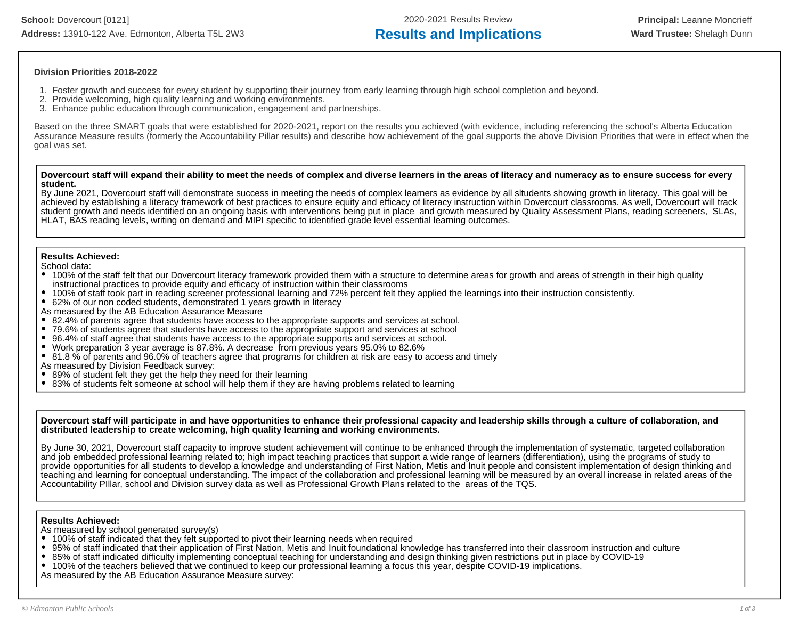# **Division Priorities 2018-2022**

- 1. Foster growth and success for every student by supporting their journey from early learning through high school completion and beyond.
- 2. Provide welcoming, high quality learning and working environments.
- 3. Enhance public education through communication, engagement and partnerships.

Based on the three SMART goals that were established for 2020-2021, report on the results you achieved (with evidence, including referencing the school's Alberta Education Assurance Measure results (formerly the Accountability Pillar results) and describe how achievement of the goal supports the above Division Priorities that were in effect when the goal was set.

**Dovercourt staff will expand their ability to meet the needs of complex and diverse learners in the areas of literacy and numeracy as to ensure success for every student.** 

By June 2021, Dovercourt staff will demonstrate success in meeting the needs of complex learners as evidence by all sltudents showing growth in literacy. This goal will be achieved by establishing a literacy framework of best practices to ensure equity and efficacy of literacy instruction within Dovercourt classrooms. As well, Dovercourt will track student growth and needs identified on an ongoing basis with interventions being put in place and growth measured by Quality Assessment Plans, reading screeners, SLAs, HLAT, BAS reading levels, writing on demand and MIPI specific to identified grade level essential learning outcomes.

# **Results Achieved:**

School data:

- 100% of the staff felt that our Dovercourt literacy framework provided them with a structure to determine areas for growth and areas of strength in their high quality instructional practices to provide equity and efficacy of instruction within their classrooms
- 100% of staff took part in reading screener professional learning and 72% percent felt they applied the learnings into their instruction consistently.
- 62% of our non coded students, demonstrated 1 years growth in literacy

As measured by the AB Education Assurance Measure

- 82.4% of parents agree that students have access to the appropriate supports and services at school.
- 79.6% of students agree that students have access to the appropriate support and services at school
- 96.4% of staff agree that students have access to the appropriate supports and services at school.
- Work preparation 3 year average is 87.8%. A decrease from previous years 95.0% to 82.6%
- 81.8 % of parents and 96.0% of teachers agree that programs for children at risk are easy to access and timely
- As measured by Division Feedback survey:
- 89% of student felt they get the help they need for their learning  $\bullet$
- $\bullet$ 83% of students felt someone at school will help them if they are having problems related to learning

**Dovercourt staff will participate in and have opportunities to enhance their professional capacity and leadership skills through a culture of collaboration, and distributed leadership to create welcoming, high quality learning and working environments.**

By June 30, 2021, Dovercourt staff capacity to improve student achievement will continue to be enhanced through the implementation of systematic, targeted collaboration and job embedded professional learning related to; high impact teaching practices that support a wide range of learners (differentiation), using the programs of study to provide opportunities for all students to develop a knowledge and understanding of First Nation, Metis and Inuit people and consistent implementation of design thinking and teaching and learning for conceptual understanding. The impact of the collaboration and professional learning will be measured by an overall increase in related areas of the Accountability PIllar, school and Division survey data as well as Professional Growth Plans related to the areas of the TQS.

# **Results Achieved:**

As measured by school generated survey(s)

- 100% of staff indicated that they felt supported to pivot their learning needs when required
- $\bullet$ 95% of staff indicated that their application of First Nation, Metis and Inuit foundational knowledge has transferred into their classroom instruction and culture
- 85% of staff indicated difficulty implementing conceptual teaching for understanding and design thinking given restrictions put in place by COVID-19
- 100% of the teachers believed that we continued to keep our professional learning a focus this year, despite COVID-19 implications.
- As measured by the AB Education Assurance Measure survey: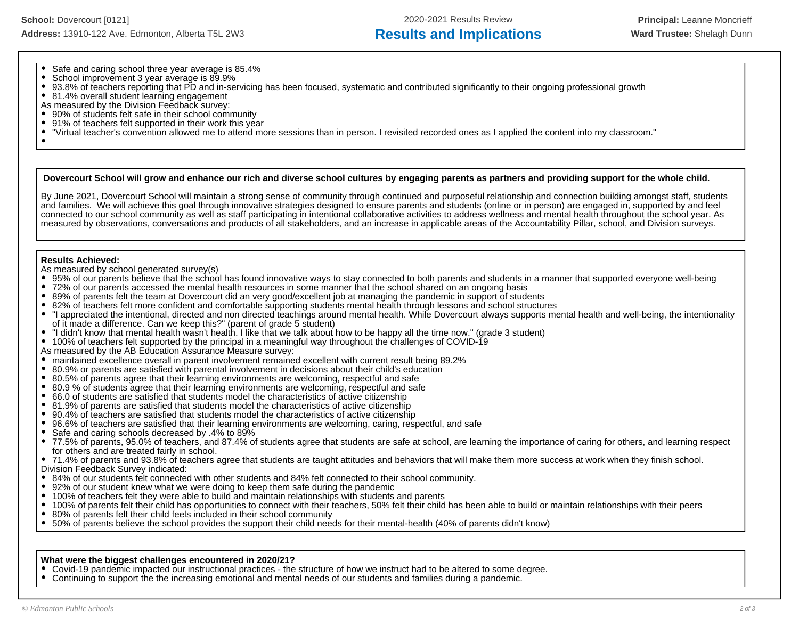- Safe and caring school three year average is 85.4%
- $\bullet$ School improvement 3 year average is 89.9%
- $\bullet$ 93.8% of teachers reporting that PD and in-servicing has been focused, systematic and contributed significantly to their ongoing professional growth
- 81.4% overall student learning engagement
- As measured by the Division Feedback survey:<br>• 90% of students felt safe in their school comm
- 90% of students felt safe in their school community
- $\bullet$ 91% of teachers felt supported in their work this year
- $\bullet$ "Virtual teacher's convention allowed me to attend more sessions than in person. I revisited recorded ones as I applied the content into my classroom."

### **Dovercourt School will grow and enhance our rich and diverse school cultures by engaging parents as partners and providing support for the whole child.**

By June 2021, Dovercourt School will maintain a strong sense of community through continued and purposeful relationship and connection building amongst staff, students and families. We will achieve this goal through innovative strategies designed to ensure parents and students (online or in person) are engaged in, supported by and feel connected to our school community as well as staff participating in intentional collaborative activities to address wellness and mental health throughout the school year. As measured by observations, conversations and products of all stakeholders, and an increase in applicable areas of the Accountability Pillar, school, and Division surveys.

### **Results Achieved:**

As measured by school generated survey(s)

- 95% of our parents believe that the school has found innovative ways to stay connected to both parents and students in a manner that supported everyone well-being
- 72% of our parents accessed the mental health resources in some manner that the school shared on an ongoing basis
- 89% of parents felt the team at Dovercourt did an very good/excellent job at managing the pandemic in support of students
- 82% of teachers felt more confident and comfortable supporting students mental health through lessons and school structures
- "I appreciated the intentional, directed and non directed teachings around mental health. While Dovercourt always supports mental health and well-being, the intentionality of it made a difference. Can we keep this?" (parent of grade 5 student)
- "I didn't know that mental health wasn't health. I like that we talk about how to be happy all the time now." (grade 3 student)
- 100% of teachers felt supported by the principal in a meaningful way throughout the challenges of COVID-19
- As measured by the AB Education Assurance Measure survey:<br>• maintained excellence overall in parent involvement remainer
- maintained excellence overall in parent involvement remained excellent with current result being 89.2%
- $\bullet$ 80.9% or parents are satisfied with parental involvement in decisions about their child's education
- 80.5% of parents agree that their learning environments are welcoming, respectful and safe
- 80.9 % of students agree that their learning environments are welcoming, respectful and safe
- 66.0 of students are satisfied that students model the characteristics of active citizenship
- 81.9% of parents are satisfied that students model the characteristics of active citizenship
- 90.4% of teachers are satisfied that students model the characteristics of active citizenship
- $\bullet$ 96.6% of teachers are satisfied that their learning environments are welcoming, caring, respectful, and safe
- $\bullet$ Safe and caring schools decreased by .4% to 89%
- 77.5% of parents, 95.0% of teachers, and 87.4% of students agree that students are safe at school, are learning the importance of caring for others, and learning respect for others and are treated fairly in school.
- 71.4% of parents and 93.8% of teachers agree that students are taught attitudes and behaviors that will make them more success at work when they finish school. Division Feedback Survey indicated:
- 84% of our students felt connected with other students and 84% felt connected to their school community.
- 92% of our student knew what we were doing to keep them safe during the pandemic
- 100% of teachers felt they were able to build and maintain relationships with students and parents
- 100% of parents felt their child has opportunities to connect with their teachers, 50% felt their child has been able to build or maintain relationships with their peers
- $\bullet$ 80% of parents felt their child feels included in their school community
- $\bullet$ 50% of parents believe the school provides the support their child needs for their mental-health (40% of parents didn't know)

### **What were the biggest challenges encountered in 2020/21?**

- Covid-19 pandemic impacted our instructional practices the structure of how we instruct had to be altered to some degree.
- Continuing to support the the increasing emotional and mental needs of our students and families during a pandemic.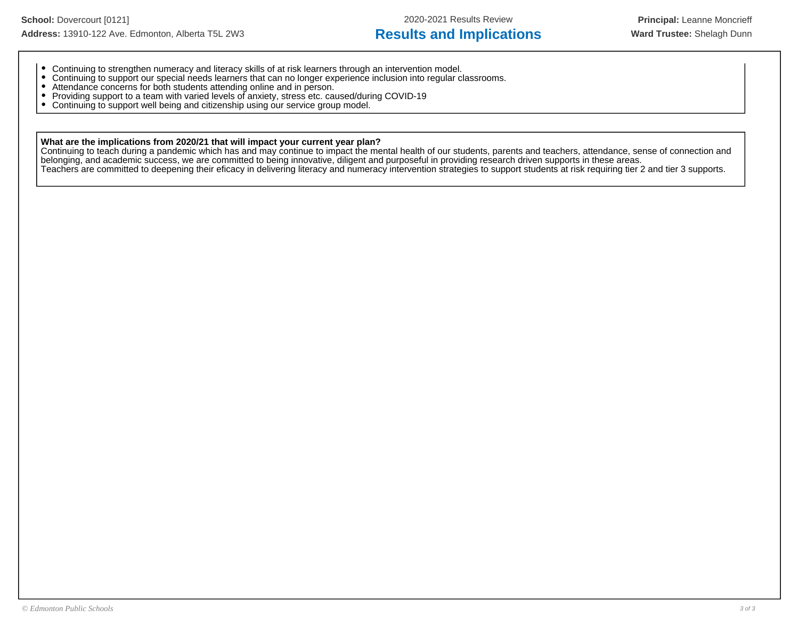- Continuing to strengthen numeracy and literacy skills of at risk learners through an intervention model.
- Continuing to support our special needs learners that can no longer experience inclusion into regular classrooms.
- Attendance concerns for both students attending online and in person.
- Providing support to a team with varied levels of anxiety, stress etc. caused/during COVID-19
- Continuing to support well being and citizenship using our service group model.  $\bullet$

# **What are the implications from 2020/21 that will impact your current year plan?**

Continuing to teach during a pandemic which has and may continue to impact the mental health of our students, parents and teachers, attendance, sense of connection and belonging, and academic success, we are committed to being innovative, diligent and purposeful in providing research driven supports in these areas. Teachers are committed to deepening their eficacy in delivering literacy and numeracy intervention strategies to support students at risk requiring tier 2 and tier 3 supports.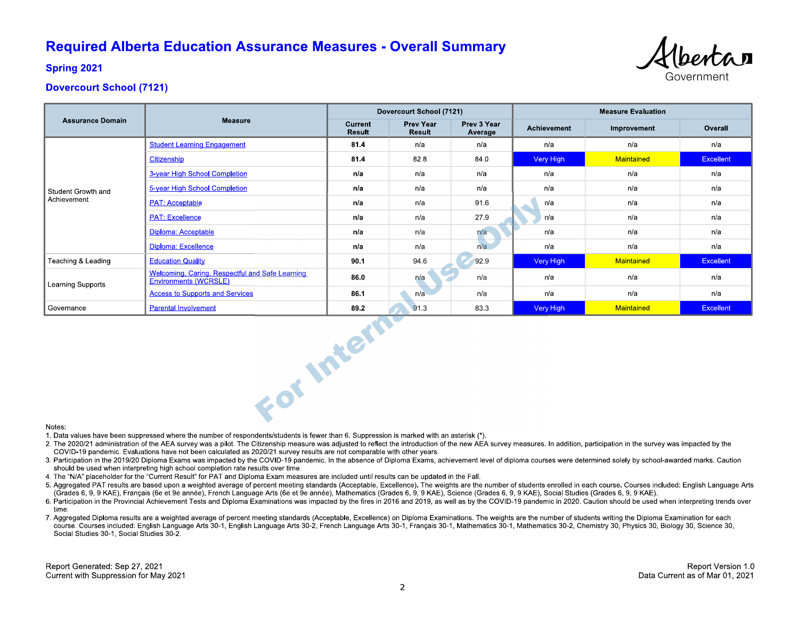# **Required Alberta Education Assurance Measures - Overall Summary**



**Spring 2021** 

# **Dovercourt School (7121)**

|                                   |                                                                          | Dovercourt School (7121) |                            |                        | <b>Measure Evaluation</b> |             |                  |
|-----------------------------------|--------------------------------------------------------------------------|--------------------------|----------------------------|------------------------|---------------------------|-------------|------------------|
| <b>Assurance Domain</b>           | <b>Measure</b>                                                           | Current<br><b>Result</b> | <b>Prev Year</b><br>Result | Prev 3 Year<br>Average | Achievement               | Improvement | Overall          |
| Student Growth and<br>Achievement | <b>Student Learning Engagement</b>                                       | 81.4                     | n/a                        | n/a                    | n/a                       | n/a         | n/a              |
|                                   | Citizenship                                                              | 81.4                     | 828                        | 840                    | Very High                 | Maintained  | <b>Excellent</b> |
|                                   | 3-year High School Completion                                            | n/a                      | n/a                        | n/a                    | n/a                       | n/a         | n/a              |
|                                   | 5-year High School Completion                                            | n/a                      | n/a                        | n/a                    | n/a                       | n/a         | n/a              |
|                                   | <b>PAT: Acceptable</b>                                                   | n/a                      | n/a                        | 91.6                   | n/a                       | n/a         | n/a              |
|                                   | <b>PAT: Excellence</b>                                                   | n/a                      | n/a                        | 27.9                   | n/a                       | n/a         | n/a              |
|                                   | Diploma: Acceptable                                                      | n/a                      | n/a                        | n/a                    | n/a                       | n/a         | n/a              |
|                                   | Diploma: Excellence                                                      | n/a                      | n/a                        | n/a                    | n/a                       | n/a         | n/a              |
| Teaching & Leading                | <b>Education Quality</b>                                                 | 90.1                     | 94.6                       | 92.9                   | Very High                 | Maintained  | <b>Excellent</b> |
| Learning Supports                 | Welcoming, Caring, Respectful and Safe Learning<br>Environments (WCRSLE) | 86.0                     | n/a                        | n/a                    | n/a                       | n/a         | n/a              |
|                                   | <b>Access to Supports and Services</b>                                   | 86.1                     | n/a                        | n/a                    | n/a                       | n/a         | n/a              |
| Governance                        | <b>Parental Involvement</b>                                              | 89.2                     | 91.3                       | 83.3                   | Very High                 | Maintained  | Excellent        |
| Notes.                            | For Intern                                                               |                          |                            |                        |                           |             |                  |

#### Notes:

1. Data values have been suppressed where the number of respondents/students is fewer than 6. Suppression is marked with an asterisk (\*).

- 2. The 2020/21 administration of the AEA survey was a pilot. The Citizenship measure was adjusted to reflect the introduction of the new AEA survey measures. In addition, participation in the survey was impacted by the COVID-19 pandemic. Evaluations have not been calculated as 2020/21 survey results are not comparable with other years.
- 3. Participation in the 2019/20 Diploma Exams was impacted by the COVID-19 pandemic. In the absence of Diploma Exams, achievement level of diploma courses were determined solely by school-awarded marks. Caution should be used when interpreting high school completion rate results over time.
- 4. The "N/A" placeholder for the "Current Result" for PAT and Diploma Exam measures are included until results can be updated in the Fall.
- 5. Aggregated PAT results are based upon a weighted average of percent meeting standards (Acceptable, Excellence). The weights are the number of students enrolled in each course. Courses included: English Language Arts (Grades 6, 9, 9 KAE), Français (6e et 9e année), French Language Arts (6e et 9e année), Mathematics (Grades 6, 9, 9 KAE), Science (Grades 6, 9, 9 KAE), Social Studies (Grades 6, 9, 9 KAE).
- 6. Participation in the Provincial Achievement Tests and Diploma Examinations was impacted by the fires in 2016 and 2019, as well as by the COVID-19 pandemic in 2020. Caution should be used when interpreting trends over time
- 7. Aggregated Diploma results are a weighted average of percent meeting standards (Acceptable, Excellence) on Diploma Examinations. The weights are the number of students writing the Diploma Examination for each course. Courses included: English Language Arts 30-1, English Language Arts 30-2, French Language Arts 30-1, Français 30-1, Mathematics 30-1, Mathematics 30-2, Chemistry 30, Physics 30, Biology 30, Science 30, Social Studies 30-1, Social Studies 30-2.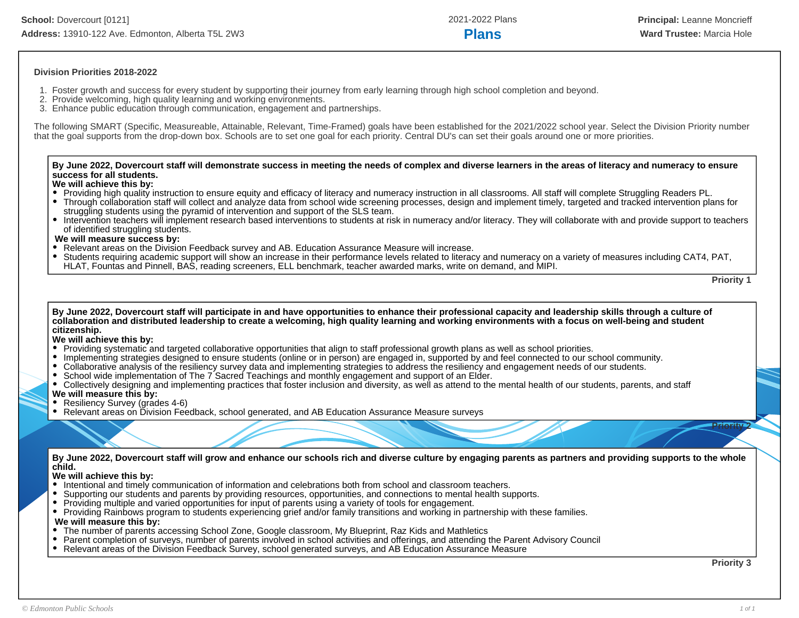# **Division Priorities 2018-2022**

- 1. Foster growth and success for every student by supporting their journey from early learning through high school completion and beyond.
- 2. Provide welcoming, high quality learning and working environments.
- 3. Enhance public education through communication, engagement and partnerships.

The following SMART (Specific, Measureable, Attainable, Relevant, Time-Framed) goals have been established for the 2021/2022 school year. Select the Division Priority number that the goal supports from the drop-down box. Schools are to set one goal for each priority. Central DU's can set their goals around one or more priorities.

### **By June 2022, Dovercourt staff will demonstrate success in meeting the needs of complex and diverse learners in the areas of literacy and numeracy to ensure success for all students.**

# **We will achieve this by:**

- Providing high quality instruction to ensure equity and efficacy of literacy and numeracy instruction in all classrooms. All staff will complete Struggling Readers PL.
- Through collaboration staff will collect and analyze data from school wide screening processes, design and implement timely, targeted and tracked intervention plans for struggling students using the pyramid of intervention and support of the SLS team.
- Intervention teachers will implement research based interventions to students at risk in numeracy and/or literacy. They will collaborate with and provide support to teachers of identified struggling students.

### **We will measure success by:**

- Relevant areas on the Division Feedback survey and AB. Education Assurance Measure will increase.
- Students requiring academic support will show an increase in their performance levels related to literacy and numeracy on a variety of measures including CAT4, PAT, HLAT, Fountas and Pinnell, BAS, reading screeners, ELL benchmark, teacher awarded marks, write on demand, and MIPI.

**Priority 1**

**By June 2022, Dovercourt staff will participate in and have opportunities to enhance their professional capacity and leadership skills through a culture of collaboration and distributed leadership to create a welcoming, high quality learning and working environments with a focus on well-being and student citizenship.**

### **We will achieve this by:**

- Providing systematic and targeted collaborative opportunities that align to staff professional growth plans as well as school priorities.
- Implementing strategies designed to ensure students (online or in person) are engaged in, supported by and feel connected to our school community.
- Collaborative analysis of the resiliency survey data and implementing strategies to address the resiliency and engagement needs of our students.
- School wide implementation of The 7 Sacred Teachings and monthly engagement and support of an Elder.
- Collectively designing and implementing practices that foster inclusion and diversity, as well as attend to the mental health of our students, parents, and staff

# **We will measure this by:**

- Resiliency Survey (grades 4-6)
- Relevant areas on Division Feedback, school generated, and AB Education Assurance Measure surveys

**By June 2022, Dovercourt staff will grow and enhance our schools rich and diverse culture by engaging parents as partners and providing supports to the whole child.**

### **We will achieve this by:**

- Intentional and timely communication of information and celebrations both from school and classroom teachers.
- Supporting our students and parents by providing resources, opportunities, and connections to mental health supports.
- Providing multiple and varied opportunities for input of parents using a variety of tools for engagement.
- Providing Rainbows program to students experiencing grief and/or family transitions and working in partnership with these families.

# **We will measure this by:**

- The number of parents accessing School Zone, Google classroom, My Blueprint, Raz Kids and Mathletics  $\bullet$
- $\bullet$ Parent completion of surveys, number of parents involved in school activities and offerings, and attending the Parent Advisory Council
- $\bullet$ Relevant areas of the Division Feedback Survey, school generated surveys, and AB Education Assurance Measure

**Priority 3**

**Priority 2**